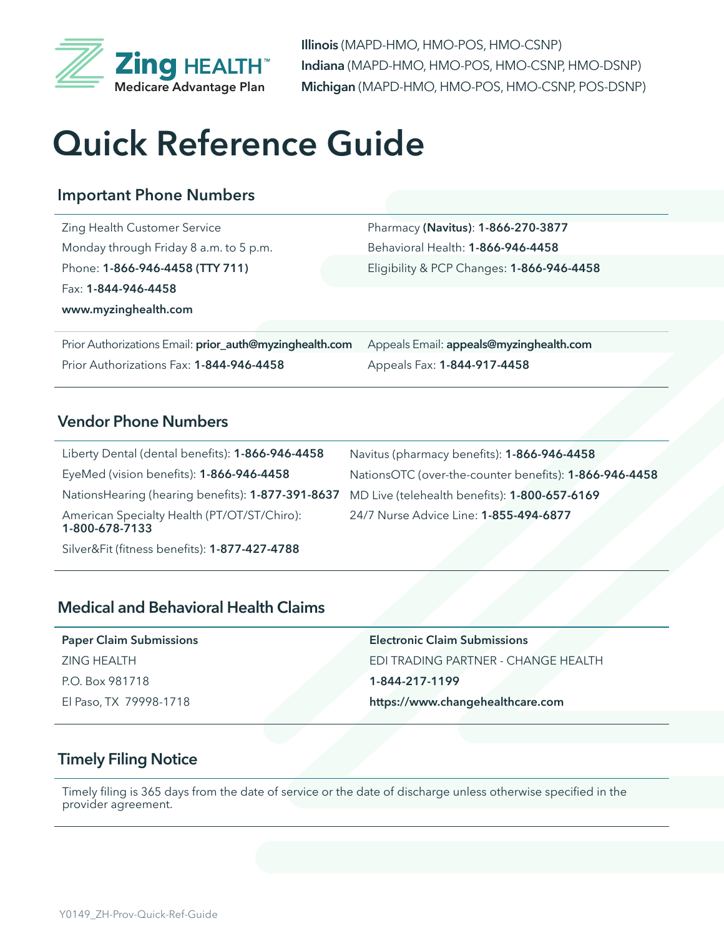

**Illinois** (MAPD-HMO, HMO-POS, HMO-CSNP) **Indiana** (MAPD-HMO, HMO-POS, HMO-CSNP, HMO-DSNP) **Michigan** (MAPD-HMO, HMO-POS, HMO-CSNP, POS-DSNP)

# **Quick Reference Guide**

# **Important Phone Numbers**

Zing Health Customer Service Monday through Friday 8 a.m. to 5 p.m. Phone: **1-866-946-4458 (TTY 711)** Fax: **1-844-946-4458 www.myzinghealth.com**

Pharmacy **(Navitus)**: **1-866-270-3877** Behavioral Health: **1-866-946-4458** Eligibility & PCP Changes: **1-866-946-4458**

Prior Authorizations Email: **prior\_auth@myzinghealth.com** Prior Authorizations Fax: **1-844-946-4458**

Appeals Email: **appeals@myzinghealth.com** Appeals Fax: **1-844-917-4458**

### **Vendor Phone Numbers**

Liberty Dental (dental benefits): **1-866-946-4458** EyeMed (vision benefits): **1-866-946-4458** NationsHearing (hearing benefits): **1-877-391-8637** MD Live (telehealth benefits): **1-800-657-6169** American Specialty Health (PT/OT/ST/Chiro): **1-800-678-7133** Navitus (pharmacy benefits): **1-866-946-4458** NationsOTC (over-the-counter benefits): **1-866-946-4458** 24/7 Nurse Advice Line: **1-855-494-6877**

Silver&Fit (fitness benefits): **1-877-427-4788**

## **Medical and Behavioral Health Claims**

| <b>Paper Claim Submissions</b> | <b>Electronic Claim Submissions</b> |
|--------------------------------|-------------------------------------|
| ZING HEALTH                    | EDI TRADING PARTNER - CHANGE HEALTH |
| P.O. Box 981718                | 1-844-217-1199                      |
| El Paso, TX 79998-1718         | https://www.changehealthcare.com    |

# **Timely Filing Notice**

Timely filing is 365 days from the date of service or the date of discharge unless otherwise specified in the provider agreement.